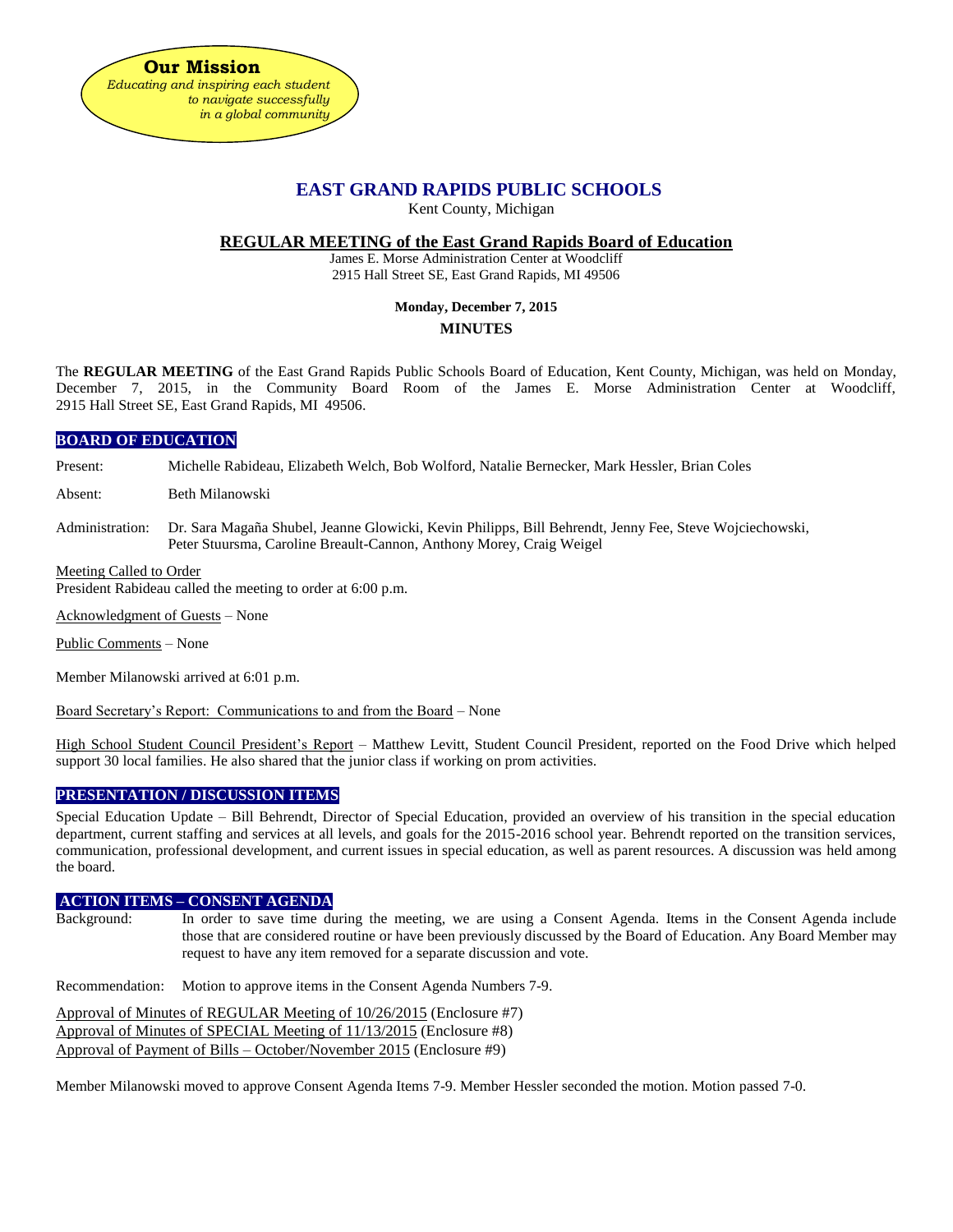

# **EAST GRAND RAPIDS PUBLIC SCHOOLS**

Kent County, Michigan

## **REGULAR MEETING of the East Grand Rapids Board of Education**

James E. Morse Administration Center at Woodcliff 2915 Hall Street SE, East Grand Rapids, MI 49506

# **Monday, December 7, 2015**

**MINUTES**

The **REGULAR MEETING** of the East Grand Rapids Public Schools Board of Education, Kent County, Michigan, was held on Monday, December 7, 2015, in the Community Board Room of the James E. Morse Administration Center at Woodcliff, 2915 Hall Street SE, East Grand Rapids, MI 49506.

# **BOARD OF EDUCATION**

Present: Michelle Rabideau, Elizabeth Welch, Bob Wolford, Natalie Bernecker, Mark Hessler, Brian Coles

Absent: Beth Milanowski

Administration: Dr. Sara Magaña Shubel, Jeanne Glowicki, Kevin Philipps, Bill Behrendt, Jenny Fee, Steve Wojciechowski, Peter Stuursma, Caroline Breault-Cannon, Anthony Morey, Craig Weigel

#### Meeting Called to Order

President Rabideau called the meeting to order at 6:00 p.m.

Acknowledgment of Guests – None

Public Comments – None

Member Milanowski arrived at 6:01 p.m.

Board Secretary's Report: Communications to and from the Board – None

High School Student Council President's Report – Matthew Levitt, Student Council President, reported on the Food Drive which helped support 30 local families. He also shared that the junior class if working on prom activities.

# **PRESENTATION / DISCUSSION ITEMS**

Special Education Update – Bill Behrendt, Director of Special Education, provided an overview of his transition in the special education department, current staffing and services at all levels, and goals for the 2015-2016 school year. Behrendt reported on the transition services, communication, professional development, and current issues in special education, as well as parent resources. A discussion was held among the board.

## **ACTION ITEMS – CONSENT AGENDA**

Background: In order to save time during the meeting, we are using a Consent Agenda. Items in the Consent Agenda include those that are considered routine or have been previously discussed by the Board of Education. Any Board Member may request to have any item removed for a separate discussion and vote.

Recommendation: Motion to approve items in the Consent Agenda Numbers 7-9.

Approval of Minutes of REGULAR Meeting of 10/26/2015 (Enclosure #7) Approval of Minutes of SPECIAL Meeting of 11/13/2015 (Enclosure #8) Approval of Payment of Bills – October/November 2015 (Enclosure #9)

Member Milanowski moved to approve Consent Agenda Items 7-9. Member Hessler seconded the motion. Motion passed 7-0.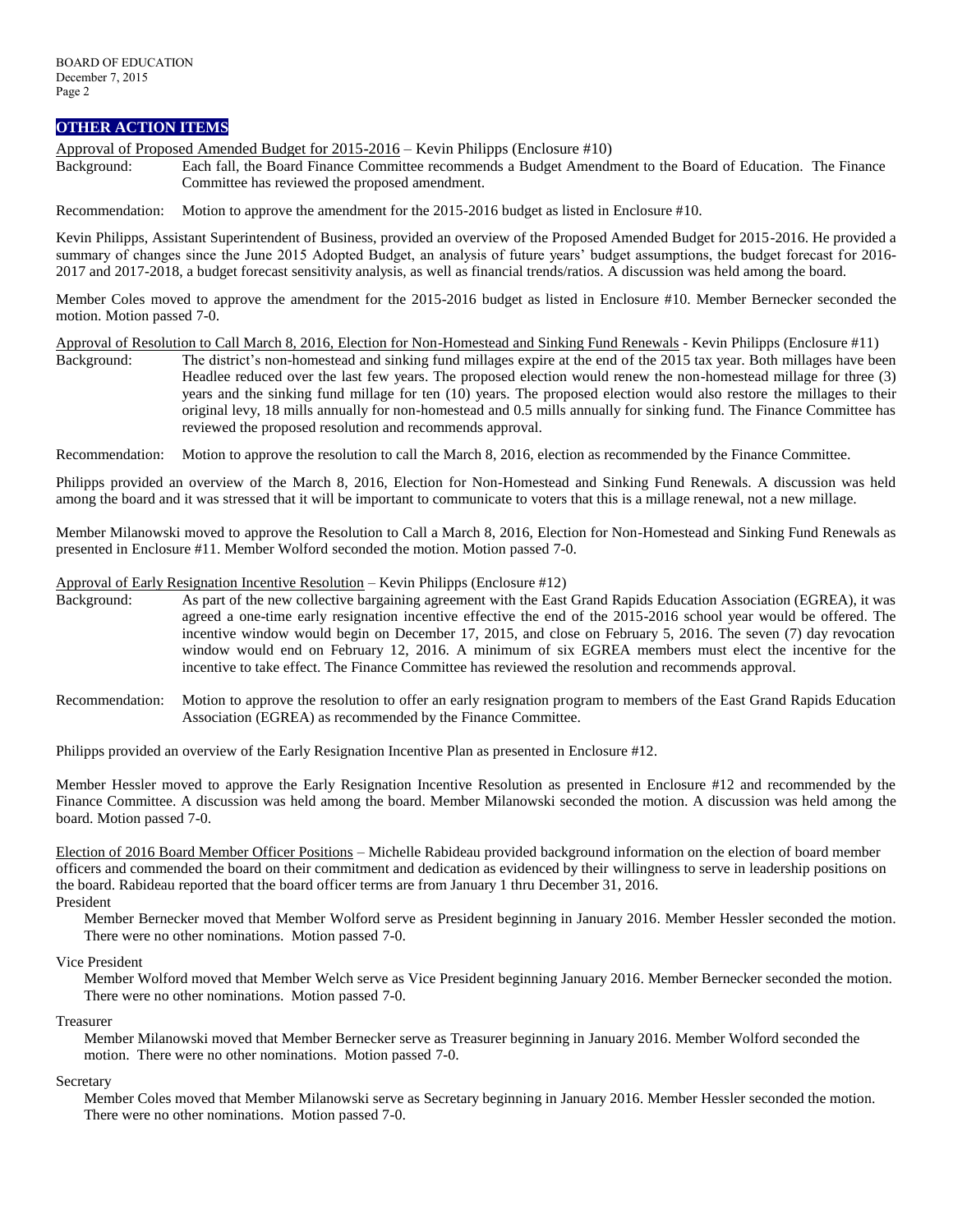# **OTHER ACTION ITEMS**

Approval of Proposed Amended Budget for 2015-2016 – Kevin Philipps (Enclosure #10)

Background: Each fall, the Board Finance Committee recommends a Budget Amendment to the Board of Education. The Finance Committee has reviewed the proposed amendment.

Recommendation: Motion to approve the amendment for the 2015-2016 budget as listed in Enclosure #10.

Kevin Philipps, Assistant Superintendent of Business, provided an overview of the Proposed Amended Budget for 2015-2016. He provided a summary of changes since the June 2015 Adopted Budget, an analysis of future years' budget assumptions, the budget forecast for 2016- 2017 and 2017-2018, a budget forecast sensitivity analysis, as well as financial trends/ratios. A discussion was held among the board.

Member Coles moved to approve the amendment for the 2015-2016 budget as listed in Enclosure #10. Member Bernecker seconded the motion. Motion passed 7-0.

Approval of Resolution to Call March 8, 2016, Election for Non-Homestead and Sinking Fund Renewals - Kevin Philipps (Enclosure #11) Background: The district's non-homestead and sinking fund millages expire at the end of the 2015 tax year. Both millages have been Headlee reduced over the last few years. The proposed election would renew the non-homestead millage for three (3) years and the sinking fund millage for ten (10) years. The proposed election would also restore the millages to their original levy, 18 mills annually for non-homestead and 0.5 mills annually for sinking fund. The Finance Committee has reviewed the proposed resolution and recommends approval.

Recommendation: Motion to approve the resolution to call the March 8, 2016, election as recommended by the Finance Committee.

Philipps provided an overview of the March 8, 2016, Election for Non-Homestead and Sinking Fund Renewals. A discussion was held among the board and it was stressed that it will be important to communicate to voters that this is a millage renewal, not a new millage.

Member Milanowski moved to approve the Resolution to Call a March 8, 2016, Election for Non-Homestead and Sinking Fund Renewals as presented in Enclosure #11. Member Wolford seconded the motion. Motion passed 7-0.

#### Approval of Early Resignation Incentive Resolution – Kevin Philipps (Enclosure #12)

- Background: As part of the new collective bargaining agreement with the East Grand Rapids Education Association (EGREA), it was agreed a one-time early resignation incentive effective the end of the 2015-2016 school year would be offered. The incentive window would begin on December 17, 2015, and close on February 5, 2016. The seven (7) day revocation window would end on February 12, 2016. A minimum of six EGREA members must elect the incentive for the incentive to take effect. The Finance Committee has reviewed the resolution and recommends approval.
- Recommendation: Motion to approve the resolution to offer an early resignation program to members of the East Grand Rapids Education Association (EGREA) as recommended by the Finance Committee.

Philipps provided an overview of the Early Resignation Incentive Plan as presented in Enclosure #12.

Member Hessler moved to approve the Early Resignation Incentive Resolution as presented in Enclosure #12 and recommended by the Finance Committee. A discussion was held among the board. Member Milanowski seconded the motion. A discussion was held among the board. Motion passed 7-0.

Election of 2016 Board Member Officer Positions – Michelle Rabideau provided background information on the election of board member officers and commended the board on their commitment and dedication as evidenced by their willingness to serve in leadership positions on the board. Rabideau reported that the board officer terms are from January 1 thru December 31, 2016. President

Member Bernecker moved that Member Wolford serve as President beginning in January 2016. Member Hessler seconded the motion. There were no other nominations. Motion passed 7-0.

#### Vice President

Member Wolford moved that Member Welch serve as Vice President beginning January 2016. Member Bernecker seconded the motion. There were no other nominations. Motion passed 7-0.

#### Treasurer

Member Milanowski moved that Member Bernecker serve as Treasurer beginning in January 2016. Member Wolford seconded the motion. There were no other nominations. Motion passed 7-0.

#### **Secretary**

Member Coles moved that Member Milanowski serve as Secretary beginning in January 2016. Member Hessler seconded the motion. There were no other nominations. Motion passed 7-0.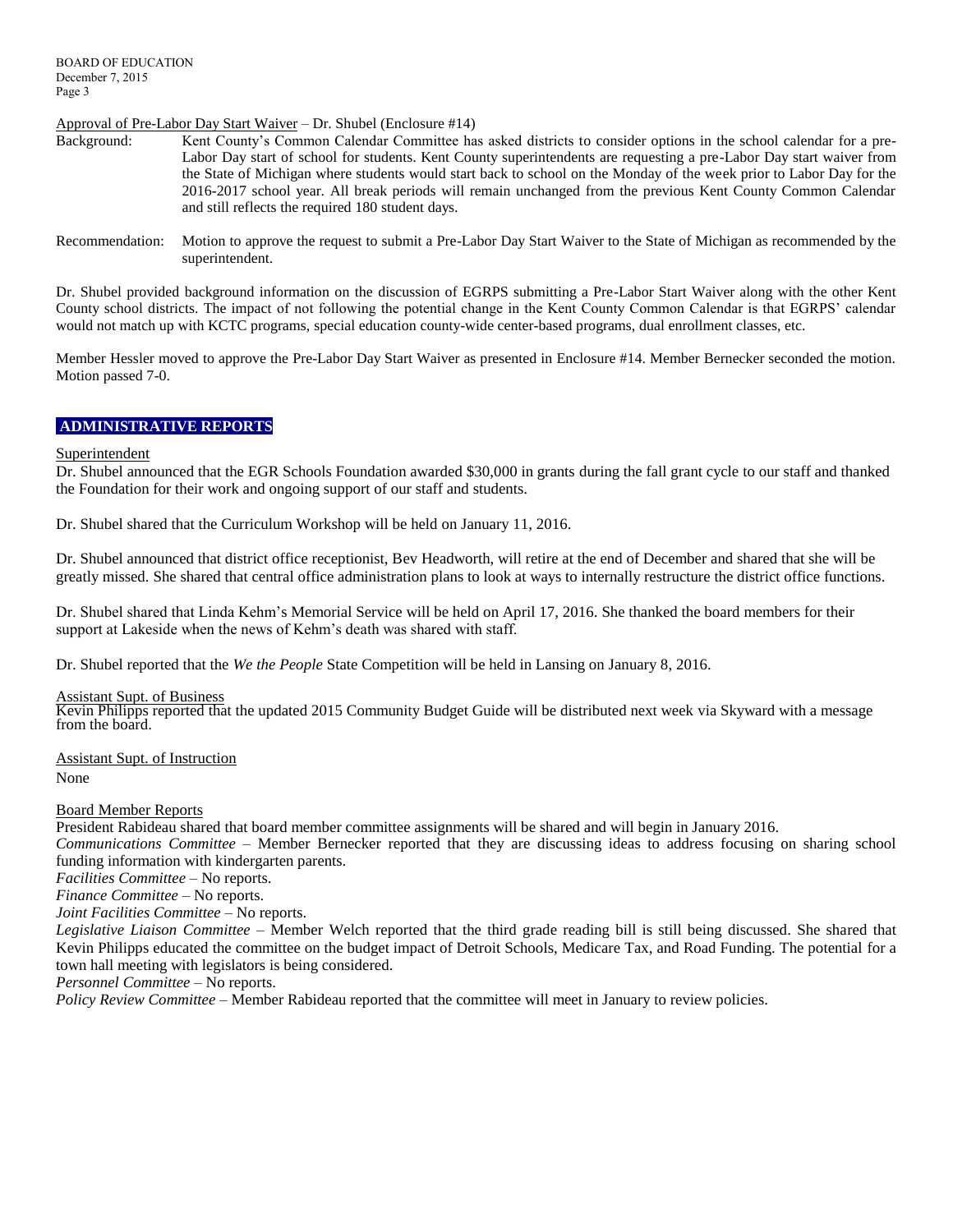## Approval of Pre-Labor Day Start Waiver – Dr. Shubel (Enclosure #14)

- Background: Kent County's Common Calendar Committee has asked districts to consider options in the school calendar for a pre-Labor Day start of school for students. Kent County superintendents are requesting a pre-Labor Day start waiver from the State of Michigan where students would start back to school on the Monday of the week prior to Labor Day for the 2016-2017 school year. All break periods will remain unchanged from the previous Kent County Common Calendar and still reflects the required 180 student days.
- Recommendation: Motion to approve the request to submit a Pre-Labor Day Start Waiver to the State of Michigan as recommended by the superintendent.

Dr. Shubel provided background information on the discussion of EGRPS submitting a Pre-Labor Start Waiver along with the other Kent County school districts. The impact of not following the potential change in the Kent County Common Calendar is that EGRPS' calendar would not match up with KCTC programs, special education county-wide center-based programs, dual enrollment classes, etc.

Member Hessler moved to approve the Pre-Labor Day Start Waiver as presented in Enclosure #14. Member Bernecker seconded the motion. Motion passed 7-0.

# **ADMINISTRATIVE REPORTS**

#### Superintendent

Dr. Shubel announced that the EGR Schools Foundation awarded \$30,000 in grants during the fall grant cycle to our staff and thanked the Foundation for their work and ongoing support of our staff and students.

Dr. Shubel shared that the Curriculum Workshop will be held on January 11, 2016.

Dr. Shubel announced that district office receptionist, Bev Headworth, will retire at the end of December and shared that she will be greatly missed. She shared that central office administration plans to look at ways to internally restructure the district office functions.

Dr. Shubel shared that Linda Kehm's Memorial Service will be held on April 17, 2016. She thanked the board members for their support at Lakeside when the news of Kehm's death was shared with staff.

Dr. Shubel reported that the *We the People* State Competition will be held in Lansing on January 8, 2016.

## Assistant Supt. of Business

Kevin Philipps reported that the updated 2015 Community Budget Guide will be distributed next week via Skyward with a message from the board.

Assistant Supt. of Instruction None

#### Board Member Reports

President Rabideau shared that board member committee assignments will be shared and will begin in January 2016.

*Communications Committee –* Member Bernecker reported that they are discussing ideas to address focusing on sharing school funding information with kindergarten parents.

*Facilities Committee –* No reports.

*Finance Committee –* No reports.

*Joint Facilities Committee –* No reports.

*Legislative Liaison Committee* – Member Welch reported that the third grade reading bill is still being discussed. She shared that Kevin Philipps educated the committee on the budget impact of Detroit Schools, Medicare Tax, and Road Funding. The potential for a town hall meeting with legislators is being considered.

*Personnel Committee –* No reports.

*Policy Review Committee –* Member Rabideau reported that the committee will meet in January to review policies.